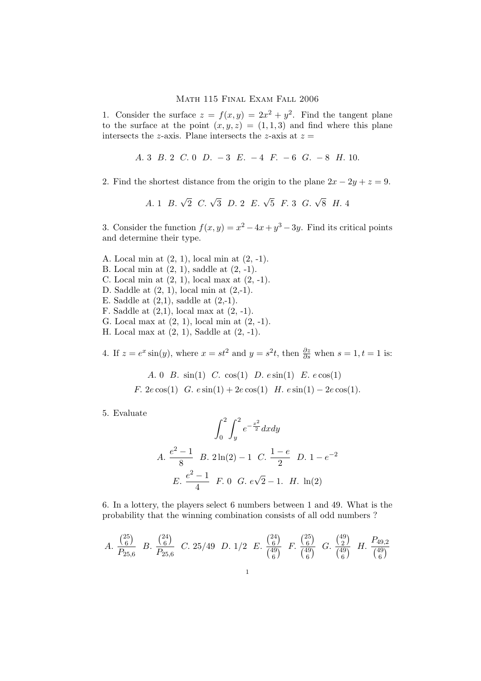## Math 115 Final Exam Fall 2006

1. Consider the surface  $z = f(x, y) = 2x^2 + y^2$ . Find the tangent plane to the surface at the point  $(x, y, z) = (1, 1, 3)$  and find where this plane intersects the z-axis. Plane intersects the z-axis at  $z =$ 

- A. 3 B. 2 C. 0 D.  $-3$  E.  $-4$  F.  $-6$  G.  $-8$  H. 10.
- 2. Find the shortest distance from the origin to the plane  $2x 2y + z = 9$ .
	- A. 1 B.  $\sqrt{2}$  C.  $\sqrt{3}$  D. 2 E.  $\sqrt{5}$  F. 3 G.  $\sqrt{8}$  H. 4

3. Consider the function  $f(x, y) = x^2 - 4x + y^3 - 3y$ . Find its critical points and determine their type.

- A. Local min at (2, 1), local min at (2, -1).
- B. Local min at  $(2, 1)$ , saddle at  $(2, -1)$ .
- C. Local min at  $(2, 1)$ , local max at  $(2, -1)$ .
- D. Saddle at (2, 1), local min at (2,-1).
- E. Saddle at  $(2,1)$ , saddle at  $(2,-1)$ .
- F. Saddle at  $(2,1)$ , local max at  $(2, -1)$ .
- G. Local max at (2, 1), local min at (2, -1).
- H. Local max at (2, 1), Saddle at (2, -1).

4. If  $z = e^x \sin(y)$ , where  $x = st^2$  and  $y = s^2t$ , then  $\frac{\partial z}{\partial s}$  when  $s = 1, t = 1$  is:

A. 0 B.  $sin(1)$  C.  $cos(1)$  D.  $e sin(1)$  E.  $e cos(1)$ 

F.  $2e \cos(1)$  G.  $e \sin(1) + 2e \cos(1)$  H.  $e \sin(1) - 2e \cos(1)$ .

5. Evaluate

$$
\int_0^2 \int_y^2 e^{-\frac{x^2}{2}} dx dy
$$
  
A.  $\frac{e^2 - 1}{8}$  B.  $2 \ln(2) - 1$  C.  $\frac{1 - e}{2}$  D.  $1 - e^{-2}$   
E.  $\frac{e^2 - 1}{4}$  F. 0 G.  $e\sqrt{2} - 1$ . H.  $\ln(2)$ 

6. In a lottery, the players select 6 numbers between 1 and 49. What is the probability that the winning combination consists of all odd numbers ?

A. 
$$
\frac{\binom{25}{6}}{P_{25,6}}
$$
 B.  $\frac{\binom{24}{6}}{P_{25,6}}$  C. 25/49 D. 1/2 E.  $\frac{\binom{24}{6}}{\binom{49}{6}}$  F.  $\frac{\binom{25}{6}}{\binom{49}{6}}$  G.  $\frac{\binom{49}{2}}{\binom{49}{6}}$  H.  $\frac{P_{49,2}}{\binom{49}{6}}$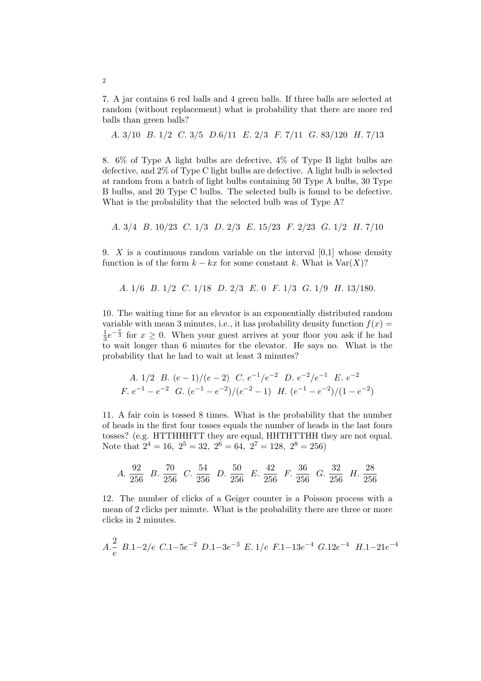7. A jar contains 6 red balls and 4 green balls. If three balls are selected at random (without replacement) what is probability that there are more red balls than green balls?

A. 3/10 B. 1/2 C. 3/5 D.6/11 E. 2/3 F. 7/11 G. 83/120 H. 7/13

8. 6% of Type A light bulbs are defective, 4% of Type B light bulbs are defective, and 2% of Type C light bulbs are defective. A light bulb is selected at random from a batch of light bulbs containing 50 Type A bulbs, 30 Type B bulbs, and 20 Type C bulbs. The selected bulb is found to be defective. What is the probability that the selected bulb was of Type A?

A. 3/4 B. 10/23 C. 1/3 D. 2/3 E. 15/23 F. 2/23 G. 1/2 H. 7/10

9. X is a continuous random variable on the interval  $[0,1]$  whose density function is of the form  $k - kx$  for some constant k. What is  $Var(X)$ ?

A. 1/6 B. 1/2 C. 1/18 D. 2/3 E. 0 F. 1/3 G. 1/9 H. 13/180.

10. The waiting time for an elevator is an exponentially distributed random variable with mean 3 minutes, i.e., it has probability density function  $f(x) =$ 1  $\frac{1}{3}e^{-\frac{x}{3}}$  for  $x \ge 0$ . When your guest arrives at your floor you ask if he had to wait longer than 6 minutes for the elevator. He says no. What is the probability that he had to wait at least 3 minutes?

A. 1/2 B. 
$$
(e-1)/(e-2)
$$
 C.  $e^{-1}/e^{-2}$  D.  $e^{-2}/e^{-1}$  E.  $e^{-2}$   
\nF.  $e^{-1} - e^{-2}$  G.  $(e^{-1} - e^{-2})/(e^{-2} - 1)$  H.  $(e^{-1} - e^{-2})/(1 - e^{-2})$ 

11. A fair coin is tossed 8 times. What is the probability that the number of heads in the first four tosses equals the number of heads in the last fours tosses? (e.g. HTTHHHTT they are equal, HHTHTTHH they are not equal. Note that  $2^4 = 16$ ,  $2^5 = 32$ ,  $2^6 = 64$ ,  $2^7 = 128$ ,  $2^8 = 256$ )

A. 
$$
\frac{92}{256}
$$
 B.  $\frac{70}{256}$  C.  $\frac{54}{256}$  D.  $\frac{50}{256}$  E.  $\frac{42}{256}$  F.  $\frac{36}{256}$  G.  $\frac{32}{256}$  H.  $\frac{28}{256}$ 

12. The number of clicks of a Geiger counter is a Poisson process with a mean of 2 clicks per minute. What is the probability there are three or more clicks in 2 minutes.

$$
A.\frac{2}{e} B.1-2/e C.1-5e^{-2} D.1-3e^{-3} E.1/e F.1-13e^{-4} G.12e^{-4} H.1-21e^{-4}
$$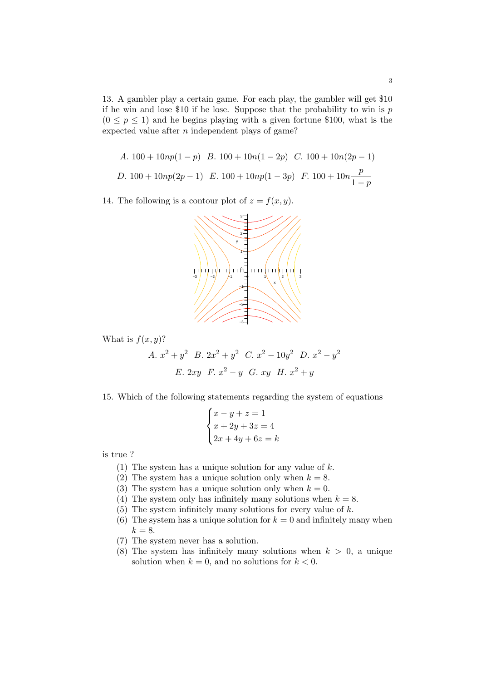13. A gambler play a certain game. For each play, the gambler will get \$10 if he win and lose \$10 if he lose. Suppose that the probability to win is  $p$  $(0 \le p \le 1)$  and he begins playing with a given fortune \$100, what is the expected value after  $n$  independent plays of game?

A. 
$$
100 + 10np(1 - p)
$$
 B.  $100 + 10n(1 - 2p)$  C.  $100 + 10n(2p - 1)$   
D.  $100 + 10np(2p - 1)$  E.  $100 + 10np(1 - 3p)$  F.  $100 + 10n \frac{p}{1 - p}$ 

14. The following is a contour plot of  $z = f(x, y)$ .



What is  $f(x, y)$ ?

A. 
$$
x^2 + y^2
$$
 B.  $2x^2 + y^2$  C.  $x^2 - 10y^2$  D.  $x^2 - y^2$   
E.  $2xy$  F.  $x^2 - y$  G.  $xy$  H.  $x^2 + y$ 

15. Which of the following statements regarding the system of equations  $\overline{a}$ 

$$
\begin{cases}\nx - y + z = 1 \\
x + 2y + 3z = 4 \\
2x + 4y + 6z = k\n\end{cases}
$$

is true ?

- (1) The system has a unique solution for any value of  $k$ .
- (2) The system has a unique solution only when  $k = 8$ .
- (3) The system has a unique solution only when  $k = 0$ .
- (4) The system only has infinitely many solutions when  $k = 8$ .
- (5) The system infinitely many solutions for every value of  $k$ .
- (6) The system has a unique solution for  $k = 0$  and infinitely many when  $k = 8$ .
- (7) The system never has a solution.
- (8) The system has infinitely many solutions when  $k > 0$ , a unique solution when  $k = 0$ , and no solutions for  $k < 0$ .